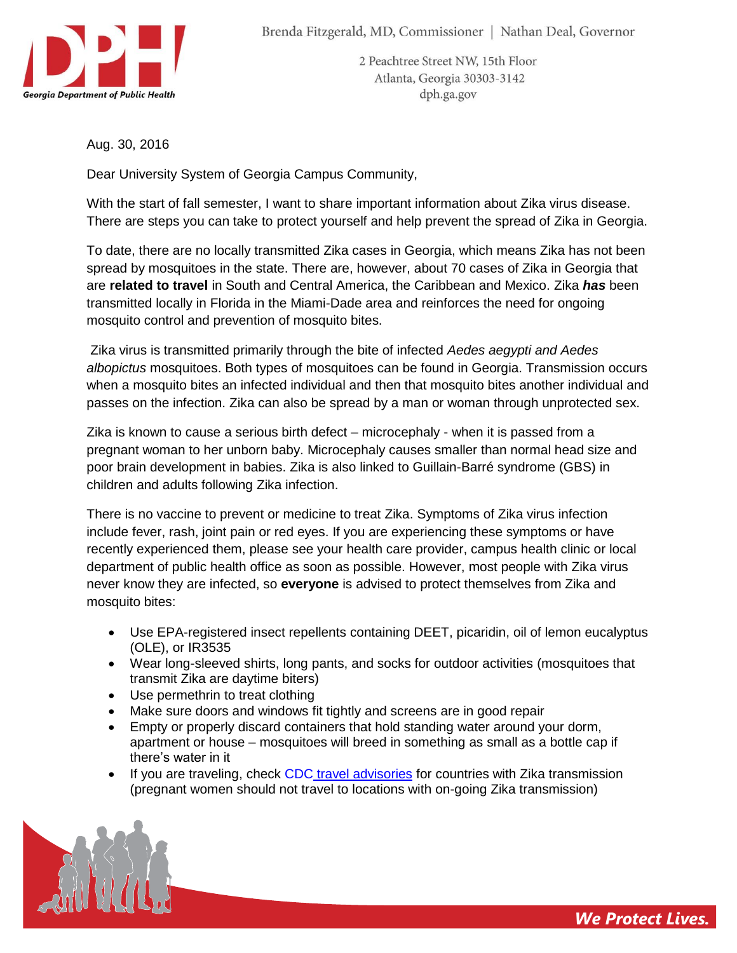

2 Peachtree Street NW, 15th Floor Atlanta, Georgia 30303-3142 dph.ga.gov

Aug. 30, 2016

Dear University System of Georgia Campus Community,

With the start of fall semester, I want to share important information about Zika virus disease. There are steps you can take to protect yourself and help prevent the spread of Zika in Georgia.

To date, there are no locally transmitted Zika cases in Georgia, which means Zika has not been spread by mosquitoes in the state. There are, however, about 70 cases of Zika in Georgia that are **related to travel** in South and Central America, the Caribbean and Mexico. Zika *has* been transmitted locally in Florida in the Miami-Dade area and reinforces the need for ongoing mosquito control and prevention of mosquito bites.

Zika virus is transmitted primarily through the bite of infected *Aedes aegypti and Aedes albopictus* mosquitoes. Both types of mosquitoes can be found in Georgia. Transmission occurs when a mosquito bites an infected individual and then that mosquito bites another individual and passes on the infection. Zika can also be spread by a man or woman through unprotected sex.

Zika is known to cause a serious birth defect – microcephaly - when it is passed from a pregnant woman to her unborn baby. Microcephaly causes smaller than normal head size and poor brain development in babies. Zika is also linked to Guillain-Barré syndrome (GBS) in children and adults following Zika infection.

There is no vaccine to prevent or medicine to treat Zika. Symptoms of Zika virus infection include fever, rash, joint pain or red eyes. If you are experiencing these symptoms or have recently experienced them, please see your health care provider, campus health clinic or local department of public health office as soon as possible. However, most people with Zika virus never know they are infected, so **everyone** is advised to protect themselves from Zika and mosquito bites:

- Use EPA-registered insect repellents containing DEET, picaridin, oil of lemon eucalyptus (OLE), or IR3535
- Wear long-sleeved shirts, long pants, and socks for outdoor activities (mosquitoes that transmit Zika are daytime biters)
- Use permethrin to treat clothing
- Make sure doors and windows fit tightly and screens are in good repair
- Empty or properly discard containers that hold standing water around your dorm, apartment or house – mosquitoes will breed in something as small as a bottle cap if there's water in it
- If you are traveling, check CDC [travel advisories](http://wwwnc.cdc.gov/travel/page/zika-information) for countries with Zika transmission (pregnant women should not travel to locations with on-going Zika transmission)

*We Protect Lives.*